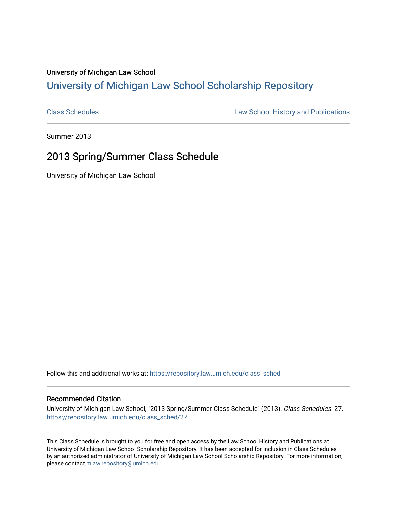## University of Michigan Law School [University of Michigan Law School Scholarship Repository](https://repository.law.umich.edu/)

[Class Schedules](https://repository.law.umich.edu/class_sched) **Law School History and Publications** 

Summer 2013

## 2013 Spring/Summer Class Schedule

University of Michigan Law School

Follow this and additional works at: [https://repository.law.umich.edu/class\\_sched](https://repository.law.umich.edu/class_sched?utm_source=repository.law.umich.edu%2Fclass_sched%2F27&utm_medium=PDF&utm_campaign=PDFCoverPages) 

## Recommended Citation

University of Michigan Law School, "2013 Spring/Summer Class Schedule" (2013). Class Schedules. 27. [https://repository.law.umich.edu/class\\_sched/27](https://repository.law.umich.edu/class_sched/27?utm_source=repository.law.umich.edu%2Fclass_sched%2F27&utm_medium=PDF&utm_campaign=PDFCoverPages)

This Class Schedule is brought to you for free and open access by the Law School History and Publications at University of Michigan Law School Scholarship Repository. It has been accepted for inclusion in Class Schedules by an authorized administrator of University of Michigan Law School Scholarship Repository. For more information, please contact [mlaw.repository@umich.edu.](mailto:mlaw.repository@umich.edu)